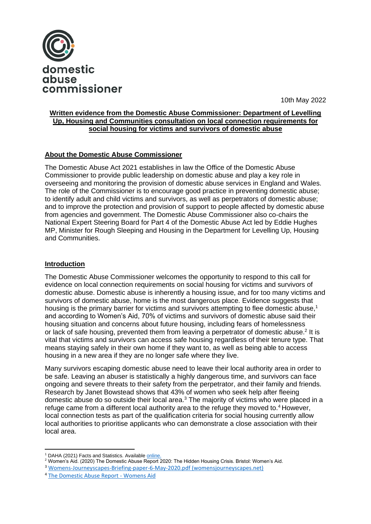

10th May 2022

## **Written evidence from the Domestic Abuse Commissioner: Department of Levelling Up, Housing and Communities consultation on local connection requirements for social housing for victims and survivors of domestic abuse**

# **About the Domestic Abuse Commissioner**

The Domestic Abuse Act 2021 establishes in law the Office of the Domestic Abuse Commissioner to provide public leadership on domestic abuse and play a key role in overseeing and monitoring the provision of domestic abuse services in England and Wales. The role of the Commissioner is to encourage good practice in preventing domestic abuse; to identify adult and child victims and survivors, as well as perpetrators of domestic abuse; and to improve the protection and provision of support to people affected by domestic abuse from agencies and government. The Domestic Abuse Commissioner also co-chairs the National Expert Steering Board for Part 4 of the Domestic Abuse Act led by Eddie Hughes MP, Minister for Rough Sleeping and Housing in the Department for Levelling Up, Housing and Communities.

# **Introduction**

The Domestic Abuse Commissioner welcomes the opportunity to respond to this call for evidence on local connection requirements on social housing for victims and survivors of domestic abuse. Domestic abuse is inherently a housing issue, and for too many victims and survivors of domestic abuse, home is the most dangerous place. Evidence suggests that housing is the primary barrier for victims and survivors attempting to flee domestic abuse,<sup>1</sup> and according to Women's Aid, 70% of victims and survivors of domestic abuse said their housing situation and concerns about future housing, including fears of homelessness or lack of safe housing, prevented them from leaving a perpetrator of domestic abuse.<sup>2</sup> It is vital that victims and survivors can access safe housing regardless of their tenure type. That means staying safely in their own home if they want to, as well as being able to access housing in a new area if they are no longer safe where they live.

Many survivors escaping domestic abuse need to leave their local authority area in order to be safe. Leaving an abuser is statistically a highly dangerous time, and survivors can face ongoing and severe threats to their safety from the perpetrator, and their family and friends. Research by Janet Bowstead shows that 43% of women who seek help after fleeing domestic abuse do so outside their local area.<sup>3</sup> The majority of victims who were placed in a refuge came from a different local authority area to the refuge they moved to.<sup>4</sup> However, local connection tests as part of the qualification criteria for social housing currently allow local authorities to prioritise applicants who can demonstrate a close association with their local area.

<sup>&</sup>lt;sup>1</sup> DAHA (2021) Facts and Statistics. Availabl[e online.](https://www.dahalliance.org.uk/about-us/who-we-are-why-we-do-it/)

<sup>2</sup> Women's Aid. (2020) The Domestic Abuse Report 2020: The Hidden Housing Crisis. Bristol: Women's Aid.

<sup>3</sup> [Womens-Journeyscapes-Briefing-paper-6-May-2020.pdf \(womensjourneyscapes.net\)](https://www.womensjourneyscapes.net/wp-content/uploads/2020/05/Womens-Journeyscapes-Briefing-paper-6-May-2020.pdf)

<sup>&</sup>lt;sup>4</sup> [The Domestic Abuse Report -](https://www.womensaid.org.uk/evidence-hub/research-and-publications/the-domestic-abuse-report/) Womens Aid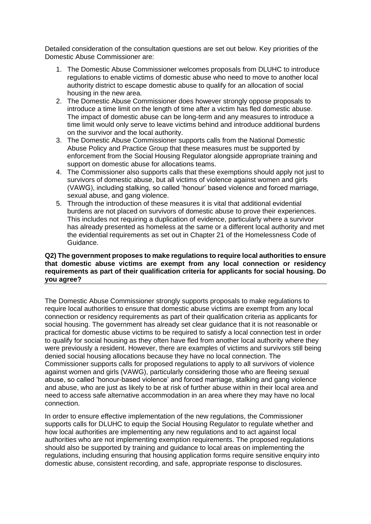Detailed consideration of the consultation questions are set out below. Key priorities of the Domestic Abuse Commissioner are:

- 1. The Domestic Abuse Commissioner welcomes proposals from DLUHC to introduce regulations to enable victims of domestic abuse who need to move to another local authority district to escape domestic abuse to qualify for an allocation of social housing in the new area.
- 2. The Domestic Abuse Commissioner does however strongly oppose proposals to introduce a time limit on the length of time after a victim has fled domestic abuse. The impact of domestic abuse can be long-term and any measures to introduce a time limit would only serve to leave victims behind and introduce additional burdens on the survivor and the local authority.
- 3. The Domestic Abuse Commissioner supports calls from the National Domestic Abuse Policy and Practice Group that these measures must be supported by enforcement from the Social Housing Regulator alongside appropriate training and support on domestic abuse for allocations teams.
- 4. The Commissioner also supports calls that these exemptions should apply not just to survivors of domestic abuse, but all victims of violence against women and girls (VAWG), including stalking, so called 'honour' based violence and forced marriage, sexual abuse, and gang violence.
- 5. Through the introduction of these measures it is vital that additional evidential burdens are not placed on survivors of domestic abuse to prove their experiences. This includes not requiring a duplication of evidence, particularly where a survivor has already presented as homeless at the same or a different local authority and met the evidential requirements as set out in Chapter 21 of the Homelessness Code of Guidance.

### **Q2) The government proposes to make regulations to require local authorities to ensure that domestic abuse victims are exempt from any local connection or residency requirements as part of their qualification criteria for applicants for social housing. Do you agree?**

The Domestic Abuse Commissioner strongly supports proposals to make regulations to require local authorities to ensure that domestic abuse victims are exempt from any local connection or residency requirements as part of their qualification criteria as applicants for social housing. The government has already set clear guidance that it is not reasonable or practical for domestic abuse victims to be required to satisfy a local connection test in order to qualify for social housing as they often have fled from another local authority where they were previously a resident. However, there are examples of victims and survivors still being denied social housing allocations because they have no local connection. The Commissioner supports calls for proposed regulations to apply to all survivors of violence against women and girls (VAWG), particularly considering those who are fleeing sexual abuse, so called 'honour-based violence' and forced marriage, stalking and gang violence and abuse, who are just as likely to be at risk of further abuse within in their local area and need to access safe alternative accommodation in an area where they may have no local connection.

In order to ensure effective implementation of the new regulations, the Commissioner supports calls for DLUHC to equip the Social Housing Regulator to regulate whether and how local authorities are implementing any new regulations and to act against local authorities who are not implementing exemption requirements. The proposed regulations should also be supported by training and guidance to local areas on implementing the regulations, including ensuring that housing application forms require sensitive enquiry into domestic abuse, consistent recording, and safe, appropriate response to disclosures.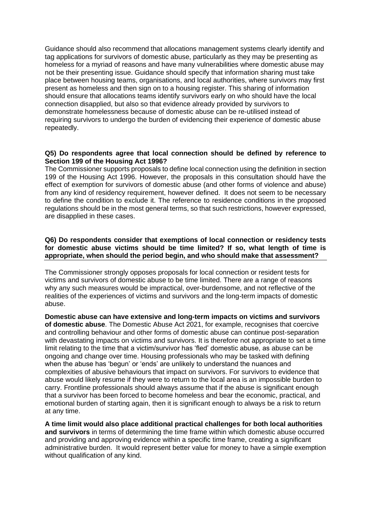Guidance should also recommend that allocations management systems clearly identify and tag applications for survivors of domestic abuse, particularly as they may be presenting as homeless for a myriad of reasons and have many vulnerabilities where domestic abuse may not be their presenting issue. Guidance should specify that information sharing must take place between housing teams, organisations, and local authorities, where survivors may first present as homeless and then sign on to a housing register. This sharing of information should ensure that allocations teams identify survivors early on who should have the local connection disapplied, but also so that evidence already provided by survivors to demonstrate homelessness because of domestic abuse can be re-utilised instead of requiring survivors to undergo the burden of evidencing their experience of domestic abuse repeatedly.

#### **Q5) Do respondents agree that local connection should be defined by reference to Section 199 of the Housing Act 1996?**

The Commissioner supports proposals to define local connection using the definition in section 199 of the Housing Act 1996. However, the proposals in this consultation should have the effect of exemption for survivors of domestic abuse (and other forms of violence and abuse) from any kind of residency requirement, however defined. It does not seem to be necessary to define the condition to exclude it. The reference to residence conditions in the proposed regulations should be in the most general terms, so that such restrictions, however expressed, are disapplied in these cases.

### **Q6) Do respondents consider that exemptions of local connection or residency tests for domestic abuse victims should be time limited? If so, what length of time is appropriate, when should the period begin, and who should make that assessment?**

The Commissioner strongly opposes proposals for local connection or resident tests for victims and survivors of domestic abuse to be time limited. There are a range of reasons why any such measures would be impractical, over-burdensome, and not reflective of the realities of the experiences of victims and survivors and the long-term impacts of domestic abuse.

**Domestic abuse can have extensive and long-term impacts on victims and survivors of domestic abuse**. The Domestic Abuse Act 2021, for example, recognises that coercive and controlling behaviour and other forms of domestic abuse can continue post-separation with devastating impacts on victims and survivors. It is therefore not appropriate to set a time limit relating to the time that a victim/survivor has 'fled' domestic abuse, as abuse can be ongoing and change over time. Housing professionals who may be tasked with defining when the abuse has 'begun' or 'ends' are unlikely to understand the nuances and complexities of abusive behaviours that impact on survivors. For survivors to evidence that abuse would likely resume if they were to return to the local area is an impossible burden to carry. Frontline professionals should always assume that if the abuse is significant enough that a survivor has been forced to become homeless and bear the economic, practical, and emotional burden of starting again, then it is significant enough to always be a risk to return at any time.

**A time limit would also place additional practical challenges for both local authorities and survivors** in terms of determining the time frame within which domestic abuse occurred and providing and approving evidence within a specific time frame, creating a significant administrative burden. It would represent better value for money to have a simple exemption without qualification of any kind.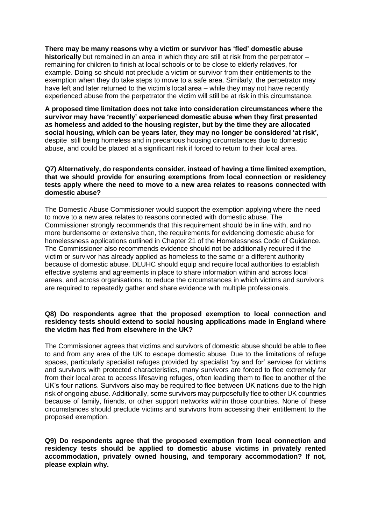**There may be many reasons why a victim or survivor has 'fled' domestic abuse historically** but remained in an area in which they are still at risk from the perpetrator – remaining for children to finish at local schools or to be close to elderly relatives, for example. Doing so should not preclude a victim or survivor from their entitlements to the exemption when they do take steps to move to a safe area. Similarly, the perpetrator may have left and later returned to the victim's local area – while they may not have recently experienced abuse from the perpetrator the victim will still be at risk in this circumstance.

**A proposed time limitation does not take into consideration circumstances where the survivor may have 'recently' experienced domestic abuse when they first presented as homeless and added to the housing register, but by the time they are allocated social housing, which can be years later, they may no longer be considered 'at risk',**  despite still being homeless and in precarious housing circumstances due to domestic abuse, and could be placed at a significant risk if forced to return to their local area.

#### **Q7) Alternatively, do respondents consider, instead of having a time limited exemption, that we should provide for ensuring exemptions from local connection or residency tests apply where the need to move to a new area relates to reasons connected with domestic abuse?**

The Domestic Abuse Commissioner would support the exemption applying where the need to move to a new area relates to reasons connected with domestic abuse. The Commissioner strongly recommends that this requirement should be in line with, and no more burdensome or extensive than, the requirements for evidencing domestic abuse for homelessness applications outlined in Chapter 21 of the Homelessness Code of Guidance. The Commissioner also recommends evidence should not be additionally required if the victim or survivor has already applied as homeless to the same or a different authority because of domestic abuse. DLUHC should equip and require local authorities to establish effective systems and agreements in place to share information within and across local areas, and across organisations, to reduce the circumstances in which victims and survivors are required to repeatedly gather and share evidence with multiple professionals.

#### **Q8) Do respondents agree that the proposed exemption to local connection and residency tests should extend to social housing applications made in England where the victim has fled from elsewhere in the UK?**

The Commissioner agrees that victims and survivors of domestic abuse should be able to flee to and from any area of the UK to escape domestic abuse. Due to the limitations of refuge spaces, particularly specialist refuges provided by specialist 'by and for' services for victims and survivors with protected characteristics, many survivors are forced to flee extremely far from their local area to access lifesaving refuges, often leading them to flee to another of the UK's four nations. Survivors also may be required to flee between UK nations due to the high risk of ongoing abuse. Additionally, some survivors may purposefully flee to other UK countries because of family, friends, or other support networks within those countries. None of these circumstances should preclude victims and survivors from accessing their entitlement to the proposed exemption.

**Q9) Do respondents agree that the proposed exemption from local connection and residency tests should be applied to domestic abuse victims in privately rented accommodation, privately owned housing, and temporary accommodation? If not, please explain why.**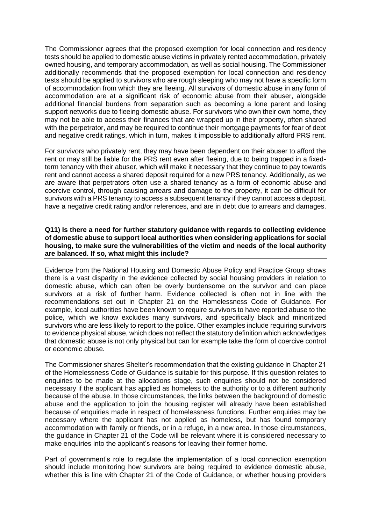The Commissioner agrees that the proposed exemption for local connection and residency tests should be applied to domestic abuse victims in privately rented accommodation, privately owned housing, and temporary accommodation, as well as social housing. The Commissioner additionally recommends that the proposed exemption for local connection and residency tests should be applied to survivors who are rough sleeping who may not have a specific form of accommodation from which they are fleeing. All survivors of domestic abuse in any form of accommodation are at a significant risk of economic abuse from their abuser, alongside additional financial burdens from separation such as becoming a lone parent and losing support networks due to fleeing domestic abuse. For survivors who own their own home, they may not be able to access their finances that are wrapped up in their property, often shared with the perpetrator, and may be required to continue their mortgage payments for fear of debt and negative credit ratings, which in turn, makes it impossible to additionally afford PRS rent.

For survivors who privately rent, they may have been dependent on their abuser to afford the rent or may still be liable for the PRS rent even after fleeing, due to being trapped in a fixedterm tenancy with their abuser, which will make it necessary that they continue to pay towards rent and cannot access a shared deposit required for a new PRS tenancy. Additionally, as we are aware that perpetrators often use a shared tenancy as a form of economic abuse and coercive control, through causing arrears and damage to the property, it can be difficult for survivors with a PRS tenancy to access a subsequent tenancy if they cannot access a deposit, have a negative credit rating and/or references, and are in debt due to arrears and damages.

### **Q11) Is there a need for further statutory guidance with regards to collecting evidence of domestic abuse to support local authorities when considering applications for social housing, to make sure the vulnerabilities of the victim and needs of the local authority are balanced. If so, what might this include?**

Evidence from the National Housing and Domestic Abuse Policy and Practice Group shows there is a vast disparity in the evidence collected by social housing providers in relation to domestic abuse, which can often be overly burdensome on the survivor and can place survivors at a risk of further harm. Evidence collected is often not in line with the recommendations set out in Chapter 21 on the Homelessness Code of Guidance. For example, local authorities have been known to require survivors to have reported abuse to the police, which we know excludes many survivors, and specifically black and minoritized survivors who are less likely to report to the police. Other examples include requiring survivors to evidence physical abuse, which does not reflect the statutory definition which acknowledges that domestic abuse is not only physical but can for example take the form of coercive control or economic abuse.

The Commissioner shares Shelter's recommendation that the existing guidance in Chapter 21 of the Homelessness Code of Guidance is suitable for this purpose. If this question relates to enquiries to be made at the allocations stage, such enquiries should not be considered necessary if the applicant has applied as homeless to the authority or to a different authority because of the abuse. In those circumstances, the links between the background of domestic abuse and the application to join the housing register will already have been established because of enquiries made in respect of homelessness functions. Further enquiries may be necessary where the applicant has not applied as homeless, but has found temporary accommodation with family or friends, or in a refuge, in a new area. In those circumstances, the guidance in Chapter 21 of the Code will be relevant where it is considered necessary to make enquiries into the applicant's reasons for leaving their former home.

Part of government's role to regulate the implementation of a local connection exemption should include monitoring how survivors are being required to evidence domestic abuse, whether this is line with Chapter 21 of the Code of Guidance, or whether housing providers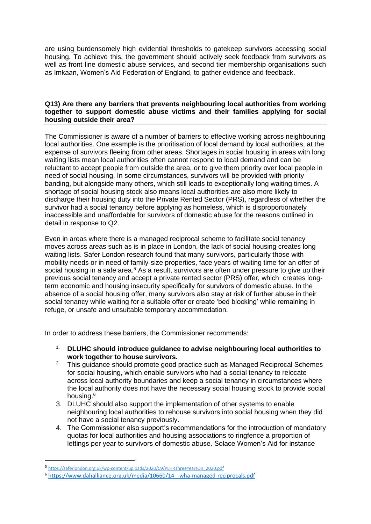are using burdensomely high evidential thresholds to gatekeep survivors accessing social housing. To achieve this, the government should actively seek feedback from survivors as well as front line domestic abuse services, and second tier membership organisations such as Imkaan, Women's Aid Federation of England, to gather evidence and feedback.

## **Q13) Are there any barriers that prevents neighbouring local authorities from working together to support domestic abuse victims and their families applying for social housing outside their area?**

The Commissioner is aware of a number of barriers to effective working across neighbouring local authorities. One example is the prioritisation of local demand by local authorities, at the expense of survivors fleeing from other areas. Shortages in social housing in areas with long waiting lists mean local authorities often cannot respond to local demand and can be reluctant to accept people from outside the area, or to give them priority over local people in need of social housing. In some circumstances, survivors will be provided with priority banding, but alongside many others, which still leads to exceptionally long waiting times. A shortage of social housing stock also means local authorities are also more likely to discharge their housing duty into the Private Rented Sector (PRS), regardless of whether the survivor had a social tenancy before applying as homeless, which is disproportionately inaccessible and unaffordable for survivors of domestic abuse for the reasons outlined in detail in response to Q2.

Even in areas where there is a managed reciprocal scheme to facilitate social tenancy moves across areas such as is in place in London, the lack of social housing creates long waiting lists. Safer London research found that many survivors, particularly those with mobility needs or in need of family-size properties, face years of waiting time for an offer of social housing in a safe area.<sup>5</sup> As a result, survivors are often under pressure to give up their previous social tenancy and accept a private rented sector (PRS) offer, which creates longterm economic and housing insecurity specifically for survivors of domestic abuse. In the absence of a social housing offer, many survivors also stay at risk of further abuse in their social tenancy while waiting for a suitable offer or create 'bed blocking' while remaining in refuge, or unsafe and unsuitable temporary accommodation.

In order to address these barriers, the Commissioner recommends:

- 1. **DLUHC should introduce guidance to advise neighbouring local authorities to work together to house survivors.**
- <sup>2.</sup> This quidance should promote good practice such as Managed Reciprocal Schemes for social housing, which enable survivors who had a social tenancy to relocate across local authority boundaries and keep a social tenancy in circumstances where the local authority does not have the necessary social housing stock to provide social housing.<sup>6</sup>
- 3. DLUHC should also support the implementation of other systems to enable neighbouring local authorities to rehouse survivors into social housing when they did not have a social tenancy previously.
- 4. The Commissioner also support's recommendations for the introduction of mandatory quotas for local authorities and housing associations to ringfence a proportion of lettings per year to survivors of domestic abuse. Solace Women's Aid for instance

<sup>5</sup> [https://saferlondon.org.uk/wp-content/uploads/2020/09/PLHRThreeYearsOn\\_2020.pdf](https://saferlondon.org.uk/wp-content/uploads/2020/09/PLHRThreeYearsOn_2020.pdf)

<sup>6</sup> [https://www.dahalliance.org.uk/media/10660/14\\_-wha-managed-reciprocals.pdf](https://www.dahalliance.org.uk/media/10660/14_-wha-managed-reciprocals.pdf)